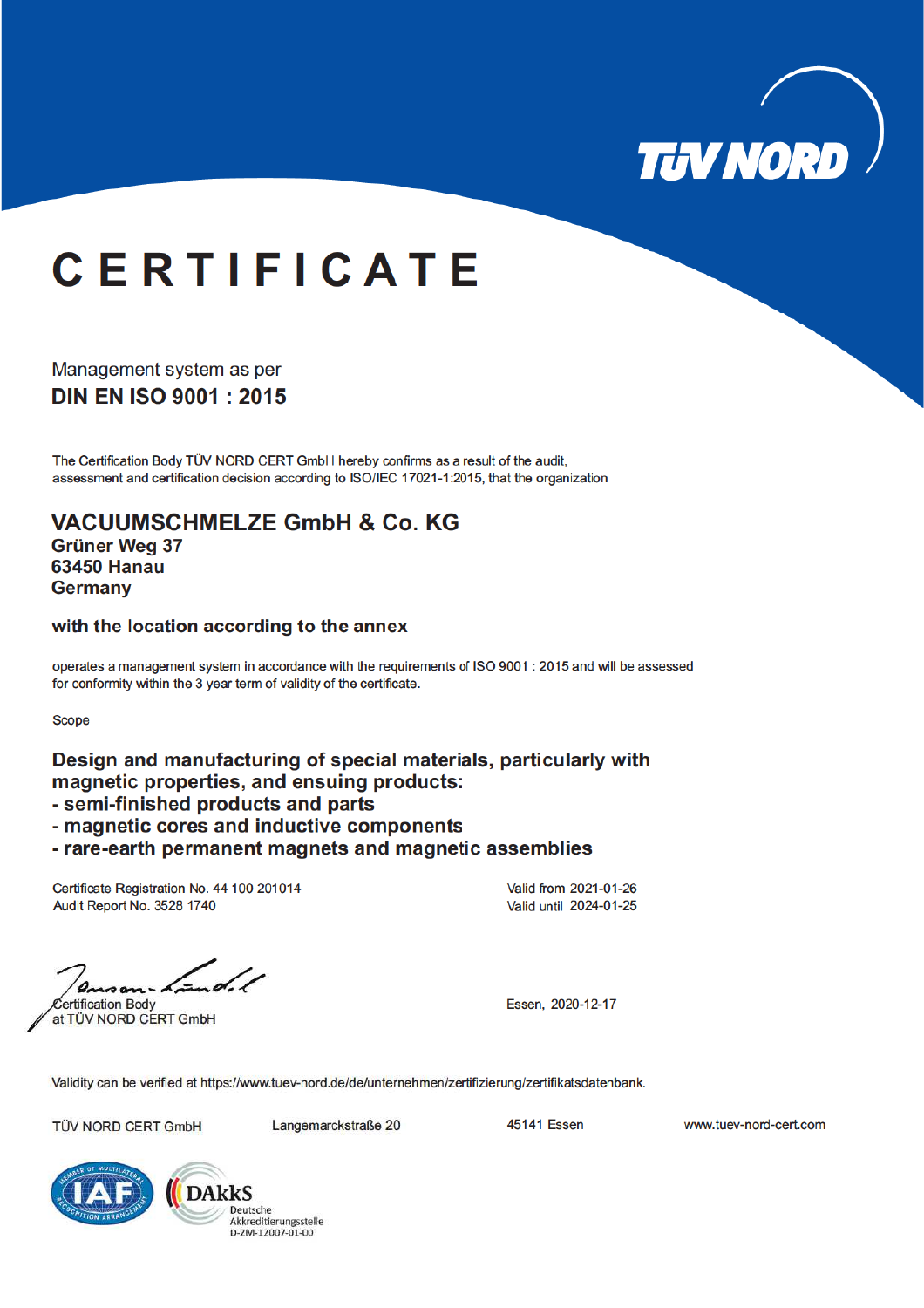

# **CERTIFICATE**

Management system as per **DIN EN ISO 9001: 2015** 

The Certification Body TÜV NORD CERT GmbH hereby confirms as a result of the audit, assessment and certification decision according to ISO/IEC 17021-1:2015, that the organization

**VACUUMSCHMELZE GmbH & Co. KG Grüner Wea 37 63450 Hanau Germany** 

with the location according to the annex

operates a management system in accordance with the requirements of ISO 9001 : 2015 and will be assessed for conformity within the 3 year term of validity of the certificate.

**Scope** 

Design and manufacturing of special materials, particularly with magnetic properties, and ensuing products:

- semi-finished products and parts
- magnetic cores and inductive components

- rare-earth permanent magnets and magnetic assemblies

Certificate Registration No. 44 100 201014 Audit Report No. 3528 1740

Valid from 2021-01-26 Valid until 2024-01-25

ertification Body

at TÜV NORD CERT GmbH

Essen. 2020-12-17

Validity can be verified at https://www.tuev-nord.de/de/unternehmen/zertifizierung/zertifikatsdatenbank.

TÜV NORD CERT GmbH

Langemarckstraße 20

**45141 Essen** 

www.tuev-nord-cert.com



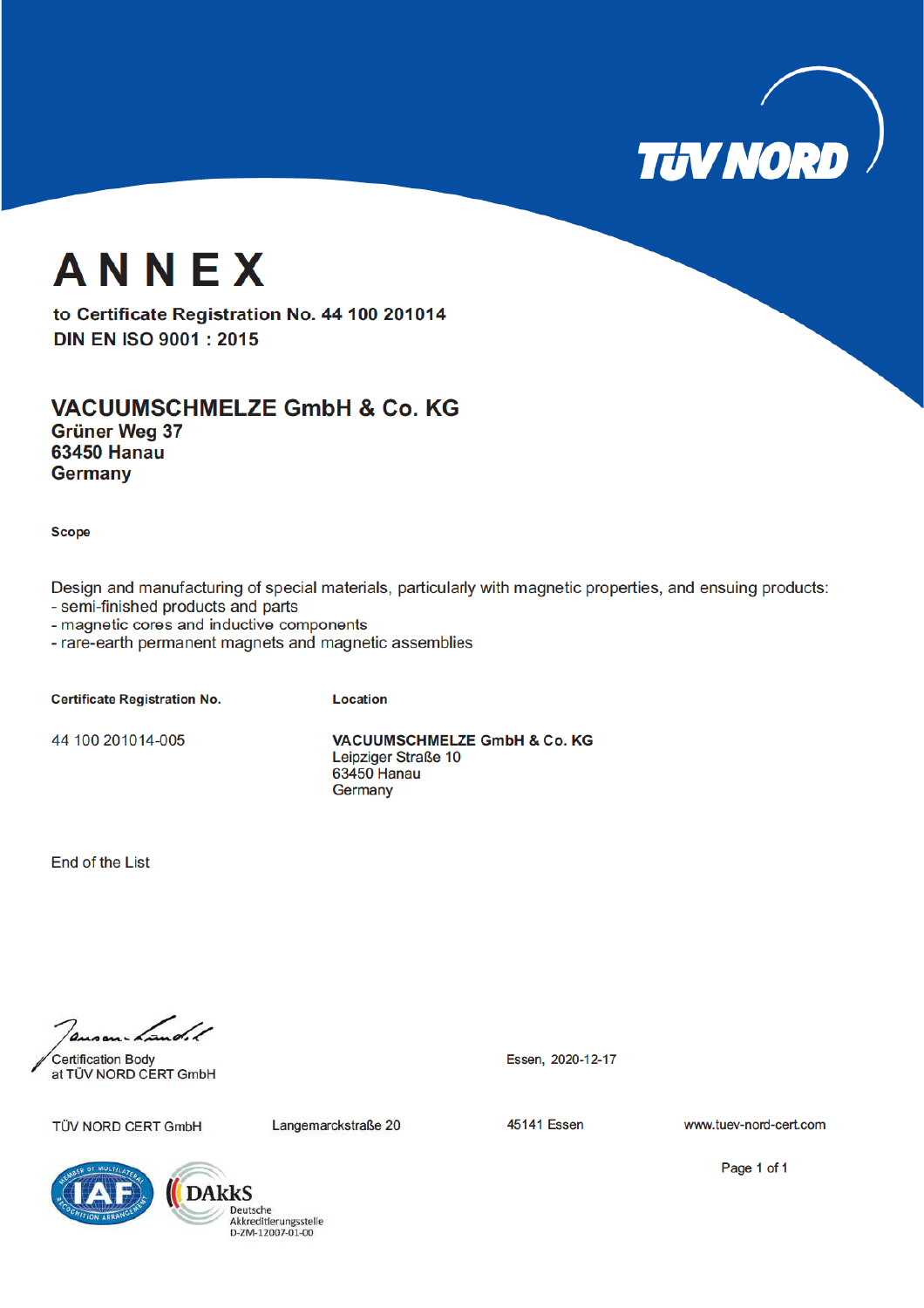

## ANNEX

to Certificate Registration No. 44 100 201014 **DIN EN ISO 9001: 2015** 

#### **VACUUMSCHMELZE GmbH & Co. KG** Grüner Weg 37 **63450 Hanau**

**Scope** 

**Germany** 

Design and manufacturing of special materials, particularly with magnetic properties, and ensuing products:

- semi-finished products and parts

- magnetic cores and inductive components

- rare-earth permanent magnets and magnetic assemblies

**Certificate Registration No.** 

Location

44 100 201014-005

VACUUMSCHMELZE GmbH & Co. KG Leipziger Straße 10 63450 Hanau Germany

End of the List

 $\overline{A}$ 

**Certification Body** at TÜV NORD CERT GmbH

TÜV NORD CERT GmbH

Langemarckstraße 20

**45141 Essen** 

Essen, 2020-12-17

www.tuev-nord-cert.com





Page 1 of 1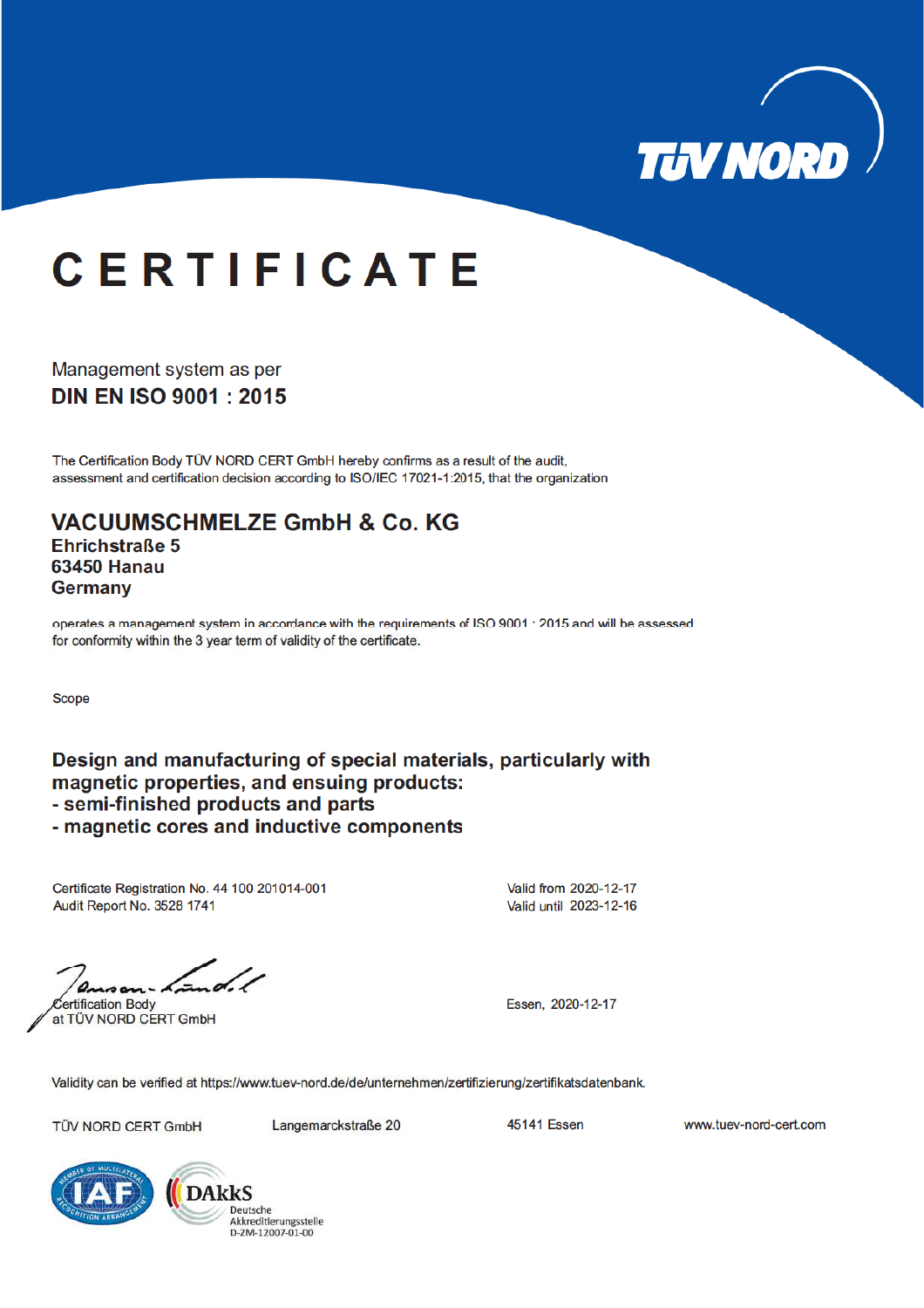

# **CERTIFICATE**

Management system as per **DIN EN ISO 9001: 2015** 

The Certification Body TÜV NORD CERT GmbH hereby confirms as a result of the audit, assessment and certification decision according to ISO/IEC 17021-1:2015, that the organization

**VACUUMSCHMELZE GmbH & Co. KG** Ehrichstraße 5 **63450 Hanau Germany** 

operates a management system in accordance with the requirements of ISO 9001 : 2015 and will be assessed for conformity within the 3 year term of validity of the certificate.

**Scope** 

Design and manufacturing of special materials, particularly with magnetic properties, and ensuing products: - semi-finished products and parts - magnetic cores and inductive components

Certificate Registration No. 44 100 201014-001 Audit Report No. 3528 1741

Valid from 2020-12-17 Valid until 2023-12-16

ertification Body

at TÜV NORD CERT GmbH

Essen. 2020-12-17

Validity can be verified at https://www.tuev-nord.de/de/unternehmen/zertifizierung/zertifikatsdatenbank.

TÜV NORD CERT GmbH

Langemarckstraße 20

**45141 Essen** 

www.tuev-nord-cert.com



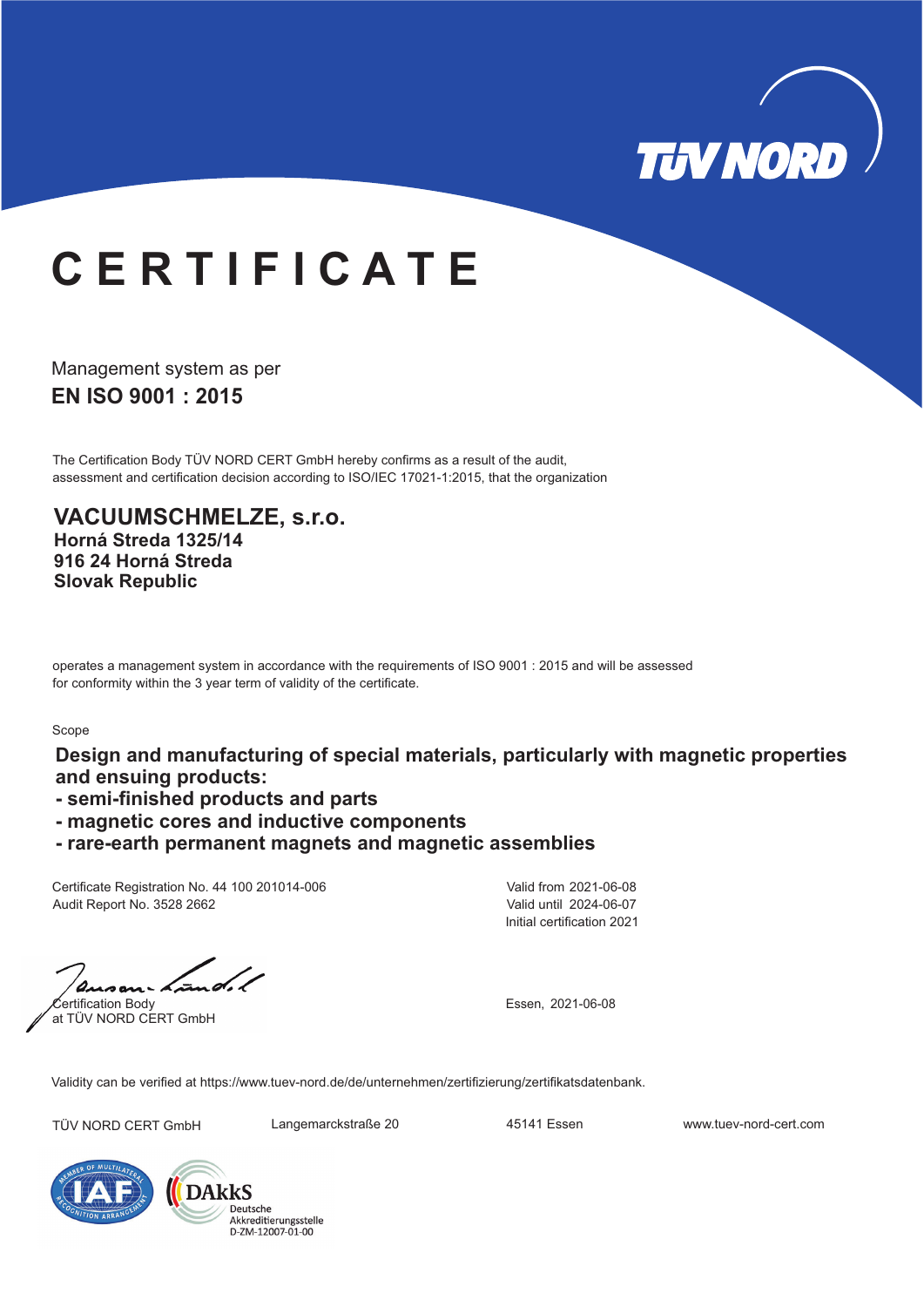

### **C E R T I F I C A T E**

**EN ISO 9001 : 2015** Management system as per

The Certification Body TÜV NORD CERT GmbH hereby confirms as a result of the audit, assessment and certification decision according to ISO/IEC 17021-1:2015, that the organization

**VACUUMSCHMELZE, s.r.o. Horná Streda 1325/14 916 24 Horná Streda Slovak Republic**

operates a management system in accordance with the requirements of ISO 9001 : 2015 and will be assessed for conformity within the 3 year term of validity of the certificate.

#### Scope

**Design and manufacturing of special materials, particularly with magnetic properties and ensuing products:**

- **semi-finished products and parts**
- **magnetic cores and inductive components**
- **rare-earth permanent magnets and magnetic assemblies**

Certificate Registration No. 44 100 201014-006 Audit Report No. 3528 2662

Initial certification 2021 Valid from 2021-06-08 Valid until 2024-06-07

Certification Body at TÜV NORD CERT GmbH

Essen, 2021-06-08

Validity can be verified at https://www.tuev-nord.de/de/unternehmen/zertifizierung/zertifikatsdatenbank.

TÜV NORD CERT GmbH Langemarckstraße 20 45141 Essen www.tuev-nord-cert.com



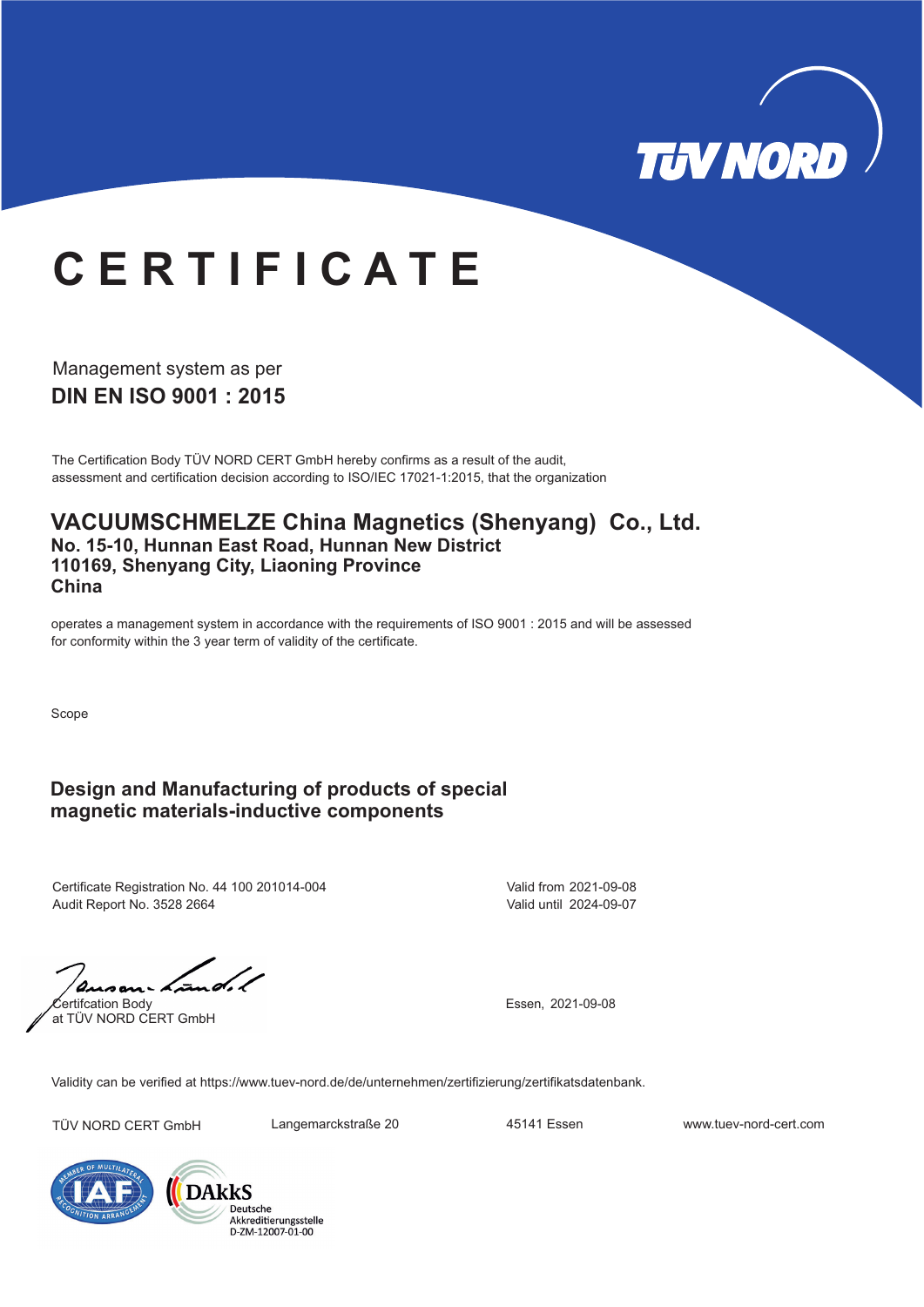

# **C E R T I F I C A T E**

**DIN EN ISO 9001 : 2015** Management system as per

The Certification Body TÜV NORD CERT GmbH hereby confirms as a result of the audit, assessment and certification decision according to ISO/IEC 17021-1:2015, that the organization

#### **VACUUMSCHMELZE China Magnetics (Shenyang) Co., Ltd. No. 15-10, Hunnan East Road, Hunnan New District 110169, Shenyang City, Liaoning Province China**

operates a management system in accordance with the requirements of ISO 9001 : 2015 and will be assessed for conformity within the 3 year term of validity of the certificate.

Scope

### **Design and Manufacturing of products of special magnetic materials-inductive components**

Certificate Registration No. 44 100 201014-004 Audit Report No. 3528 2664

Valid from 2021-09-08 Valid until 2024-09-07

Certifcation Body at TÜV NORD CERT GmbH

Essen, 2021-09-08

Validity can be verified at https://www.tuev-nord.de/de/unternehmen/zertifizierung/zertifikatsdatenbank.

TÜV NORD CERT GmbH Langemarckstraße 20 45141 Essen www.tuev-nord-cert.com